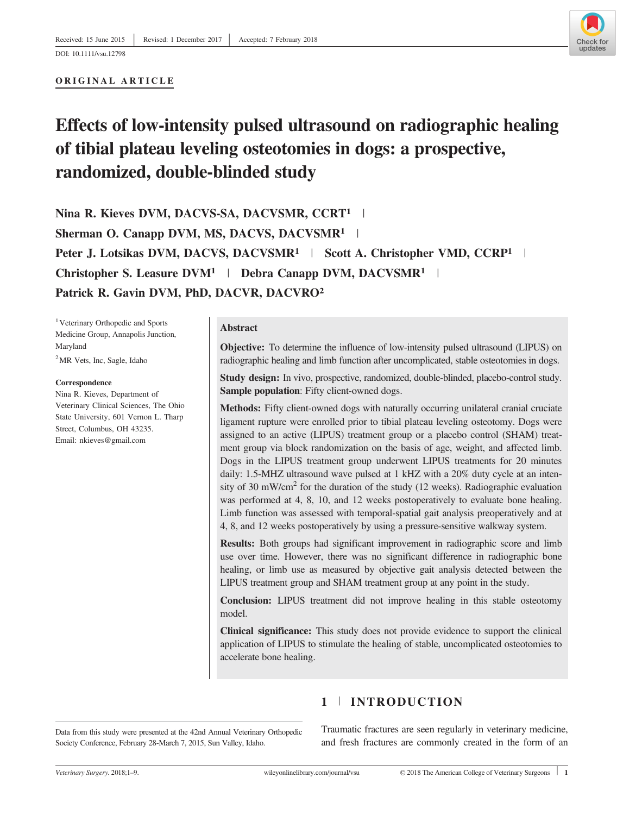

# DOI: 10.1111/vsu.12798

#### ORIGINAL ARTICLE

# Effects of low-intensity pulsed ultrasound on radiographic healing of tibial plateau leveling osteotomies in dogs: a prospective, randomized, double-blinded study

Nina R. Kieves DVM, DACVS-SA, DACVSMR, CCRT<sup>1</sup> | Sherman O. Canapp DVM, MS, DACVS, DACVSMR<sup>1</sup> | Peter J. Lotsikas DVM, DACVS, DACVSMR<sup>1</sup> | Scott A. Christopher VMD, CCRP<sup>1</sup> | Christopher S. Leasure DVM<sup>1</sup> | Debra Canapp DVM, DACVSMR<sup>1</sup> | Patrick R. Gavin DVM, PhD, DACVR, DACVRO2

<sup>1</sup> Veterinary Orthopedic and Sports Medicine Group, Annapolis Junction, Maryland 2MR Vets, Inc, Sagle, Idaho

#### **Correspondence**

Nina R. Kieves, Department of Veterinary Clinical Sciences, The Ohio State University, 601 Vernon L. Tharp Street, Columbus, OH 43235. Email: nkieves@gmail.com

#### Abstract

Objective: To determine the influence of low-intensity pulsed ultrasound (LIPUS) on radiographic healing and limb function after uncomplicated, stable osteotomies in dogs.

Study design: In vivo, prospective, randomized, double-blinded, placebo-control study. Sample population: Fifty client-owned dogs.

Methods: Fifty client-owned dogs with naturally occurring unilateral cranial cruciate ligament rupture were enrolled prior to tibial plateau leveling osteotomy. Dogs were assigned to an active (LIPUS) treatment group or a placebo control (SHAM) treatment group via block randomization on the basis of age, weight, and affected limb. Dogs in the LIPUS treatment group underwent LIPUS treatments for 20 minutes daily: 1.5-MHZ ultrasound wave pulsed at 1 kHZ with a 20% duty cycle at an intensity of 30 mW/cm<sup>2</sup> for the duration of the study (12 weeks). Radiographic evaluation was performed at 4, 8, 10, and 12 weeks postoperatively to evaluate bone healing. Limb function was assessed with temporal-spatial gait analysis preoperatively and at 4, 8, and 12 weeks postoperatively by using a pressure-sensitive walkway system.

Results: Both groups had significant improvement in radiographic score and limb use over time. However, there was no significant difference in radiographic bone healing, or limb use as measured by objective gait analysis detected between the LIPUS treatment group and SHAM treatment group at any point in the study.

Conclusion: LIPUS treatment did not improve healing in this stable osteotomy model.

Clinical significance: This study does not provide evidence to support the clinical application of LIPUS to stimulate the healing of stable, uncomplicated osteotomies to accelerate bone healing.

1 <sup>|</sup> INTRODUCTION

Data from this study were presented at the 42nd Annual Veterinary Orthopedic Society Conference, February 28-March 7, 2015, Sun Valley, Idaho.

Traumatic fractures are seen regularly in veterinary medicine, and fresh fractures are commonly created in the form of an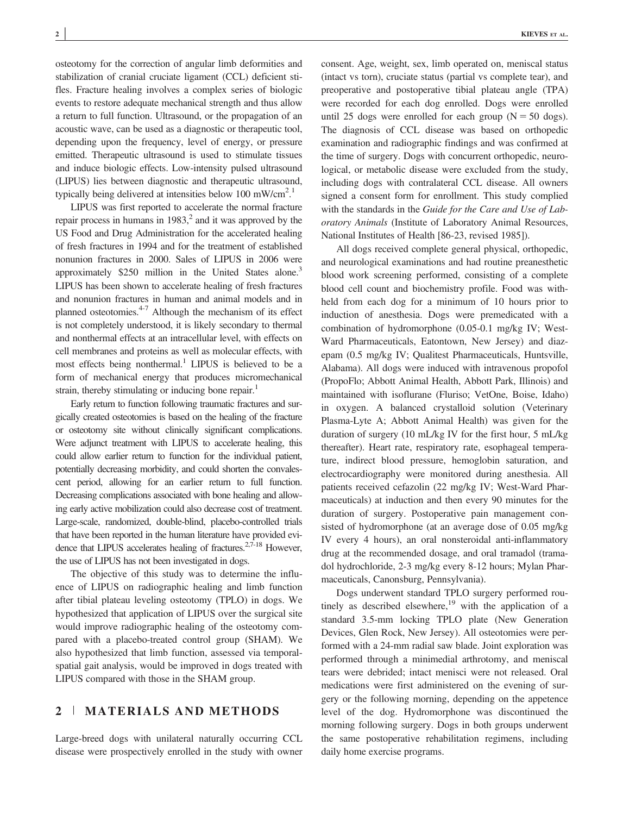osteotomy for the correction of angular limb deformities and stabilization of cranial cruciate ligament (CCL) deficient stifles. Fracture healing involves a complex series of biologic events to restore adequate mechanical strength and thus allow a return to full function. Ultrasound, or the propagation of an acoustic wave, can be used as a diagnostic or therapeutic tool, depending upon the frequency, level of energy, or pressure emitted. Therapeutic ultrasound is used to stimulate tissues and induce biologic effects. Low-intensity pulsed ultrasound (LIPUS) lies between diagnostic and therapeutic ultrasound, typically being delivered at intensities below 100 mW/cm<sup>2</sup>.<sup>1</sup>

LIPUS was first reported to accelerate the normal fracture repair process in humans in  $1983$ ,<sup>2</sup> and it was approved by the US Food and Drug Administration for the accelerated healing of fresh fractures in 1994 and for the treatment of established nonunion fractures in 2000. Sales of LIPUS in 2006 were approximately \$250 million in the United States alone.<sup>3</sup> LIPUS has been shown to accelerate healing of fresh fractures and nonunion fractures in human and animal models and in planned osteotomies. $4-7$  Although the mechanism of its effect is not completely understood, it is likely secondary to thermal and nonthermal effects at an intracellular level, with effects on cell membranes and proteins as well as molecular effects, with most effects being nonthermal.<sup>1</sup> LIPUS is believed to be a form of mechanical energy that produces micromechanical strain, thereby stimulating or inducing bone repair.<sup>1</sup>

Early return to function following traumatic fractures and surgically created osteotomies is based on the healing of the fracture or osteotomy site without clinically significant complications. Were adjunct treatment with LIPUS to accelerate healing, this could allow earlier return to function for the individual patient, potentially decreasing morbidity, and could shorten the convalescent period, allowing for an earlier return to full function. Decreasing complications associated with bone healing and allowing early active mobilization could also decrease cost of treatment. Large-scale, randomized, double-blind, placebo-controlled trials that have been reported in the human literature have provided evidence that LIPUS accelerates healing of fractures.<sup>2,7-18</sup> However, the use of LIPUS has not been investigated in dogs.

The objective of this study was to determine the influence of LIPUS on radiographic healing and limb function after tibial plateau leveling osteotomy (TPLO) in dogs. We hypothesized that application of LIPUS over the surgical site would improve radiographic healing of the osteotomy compared with a placebo-treated control group (SHAM). We also hypothesized that limb function, assessed via temporalspatial gait analysis, would be improved in dogs treated with LIPUS compared with those in the SHAM group.

### 2 <sup>|</sup> MATERIALS AND METHODS

Large-breed dogs with unilateral naturally occurring CCL disease were prospectively enrolled in the study with owner

consent. Age, weight, sex, limb operated on, meniscal status (intact vs torn), cruciate status (partial vs complete tear), and preoperative and postoperative tibial plateau angle (TPA) were recorded for each dog enrolled. Dogs were enrolled until 25 dogs were enrolled for each group ( $N = 50$  dogs). The diagnosis of CCL disease was based on orthopedic examination and radiographic findings and was confirmed at the time of surgery. Dogs with concurrent orthopedic, neurological, or metabolic disease were excluded from the study, including dogs with contralateral CCL disease. All owners signed a consent form for enrollment. This study complied with the standards in the Guide for the Care and Use of Laboratory Animals (Institute of Laboratory Animal Resources, National Institutes of Health [86-23, revised 1985]).

All dogs received complete general physical, orthopedic, and neurological examinations and had routine preanesthetic blood work screening performed, consisting of a complete blood cell count and biochemistry profile. Food was withheld from each dog for a minimum of 10 hours prior to induction of anesthesia. Dogs were premedicated with a combination of hydromorphone (0.05-0.1 mg/kg IV; West-Ward Pharmaceuticals, Eatontown, New Jersey) and diazepam (0.5 mg/kg IV; Qualitest Pharmaceuticals, Huntsville, Alabama). All dogs were induced with intravenous propofol (PropoFlo; Abbott Animal Health, Abbott Park, Illinois) and maintained with isoflurane (Fluriso; VetOne, Boise, Idaho) in oxygen. A balanced crystalloid solution (Veterinary Plasma-Lyte A; Abbott Animal Health) was given for the duration of surgery (10 mL/kg IV for the first hour, 5 mL/kg thereafter). Heart rate, respiratory rate, esophageal temperature, indirect blood pressure, hemoglobin saturation, and electrocardiography were monitored during anesthesia. All patients received cefazolin (22 mg/kg IV; West-Ward Pharmaceuticals) at induction and then every 90 minutes for the duration of surgery. Postoperative pain management consisted of hydromorphone (at an average dose of 0.05 mg/kg IV every 4 hours), an oral nonsteroidal anti-inflammatory drug at the recommended dosage, and oral tramadol (tramadol hydrochloride, 2-3 mg/kg every 8-12 hours; Mylan Pharmaceuticals, Canonsburg, Pennsylvania).

Dogs underwent standard TPLO surgery performed routinely as described elsewhere,<sup>19</sup> with the application of a standard 3.5-mm locking TPLO plate (New Generation Devices, Glen Rock, New Jersey). All osteotomies were performed with a 24-mm radial saw blade. Joint exploration was performed through a minimedial arthrotomy, and meniscal tears were debrided; intact menisci were not released. Oral medications were first administered on the evening of surgery or the following morning, depending on the appetence level of the dog. Hydromorphone was discontinued the morning following surgery. Dogs in both groups underwent the same postoperative rehabilitation regimens, including daily home exercise programs.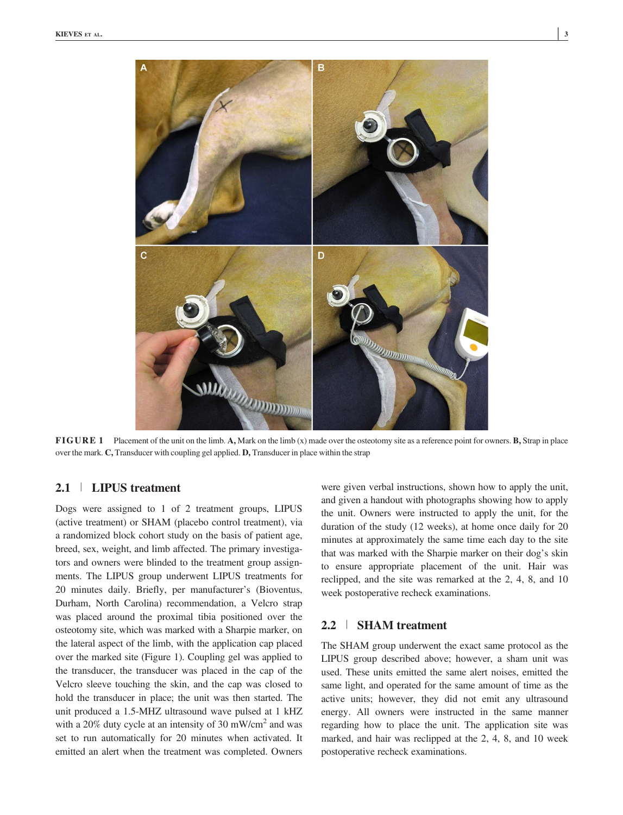

**FIGURE 1** Placement of the unit on the limb. A, Mark on the limb (x) made over the osteotomy site as a reference point for owners. **B**, Strap in place over the mark. C, Transducer with coupling gel applied. D, Transducer in place within the strap

# 2.1 <sup>|</sup> LIPUS treatment

Dogs were assigned to 1 of 2 treatment groups, LIPUS (active treatment) or SHAM (placebo control treatment), via a randomized block cohort study on the basis of patient age, breed, sex, weight, and limb affected. The primary investigators and owners were blinded to the treatment group assignments. The LIPUS group underwent LIPUS treatments for 20 minutes daily. Briefly, per manufacturer's (Bioventus, Durham, North Carolina) recommendation, a Velcro strap was placed around the proximal tibia positioned over the osteotomy site, which was marked with a Sharpie marker, on the lateral aspect of the limb, with the application cap placed over the marked site (Figure 1). Coupling gel was applied to the transducer, the transducer was placed in the cap of the Velcro sleeve touching the skin, and the cap was closed to hold the transducer in place; the unit was then started. The unit produced a 1.5-MHZ ultrasound wave pulsed at 1 kHZ with a  $20\%$  duty cycle at an intensity of 30 mW/cm<sup>2</sup> and was set to run automatically for 20 minutes when activated. It emitted an alert when the treatment was completed. Owners

were given verbal instructions, shown how to apply the unit, and given a handout with photographs showing how to apply the unit. Owners were instructed to apply the unit, for the duration of the study (12 weeks), at home once daily for 20 minutes at approximately the same time each day to the site that was marked with the Sharpie marker on their dog's skin to ensure appropriate placement of the unit. Hair was reclipped, and the site was remarked at the 2, 4, 8, and 10 week postoperative recheck examinations.

#### 2.2 <sup>|</sup> SHAM treatment

The SHAM group underwent the exact same protocol as the LIPUS group described above; however, a sham unit was used. These units emitted the same alert noises, emitted the same light, and operated for the same amount of time as the active units; however, they did not emit any ultrasound energy. All owners were instructed in the same manner regarding how to place the unit. The application site was marked, and hair was reclipped at the 2, 4, 8, and 10 week postoperative recheck examinations.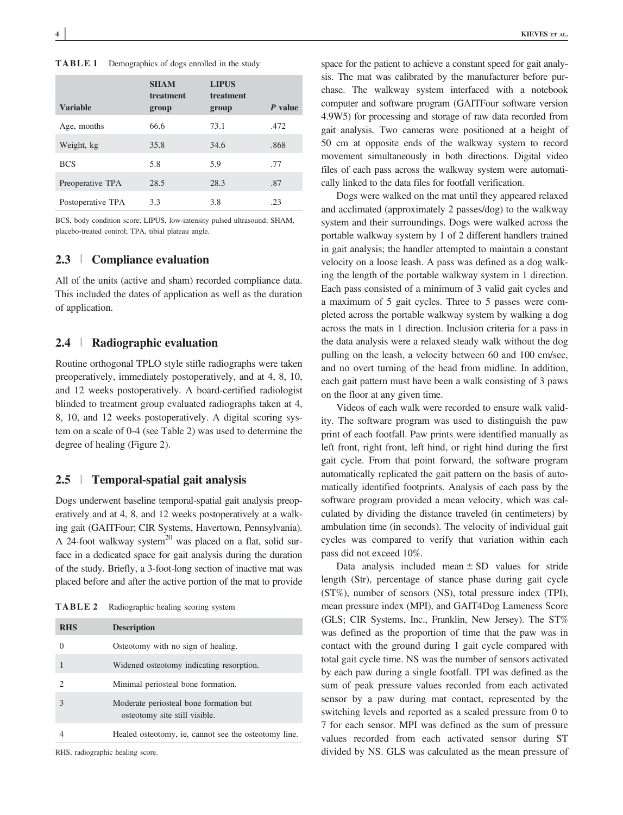#### TABLE 1 Demographics of dogs enrolled in the study

| <b>Variable</b>   | <b>SHAM</b><br>treatment<br>group | <b>LIPUS</b><br>treatment<br>group | P value |
|-------------------|-----------------------------------|------------------------------------|---------|
| Age, months       | 66.6                              | 73.1                               | .472    |
| Weight, kg        | 35.8                              | 34.6                               | .868    |
| <b>BCS</b>        | 5.8                               | 5.9                                | .77     |
| Preoperative TPA  | 28.5                              | 28.3                               | .87     |
| Postoperative TPA | 3.3                               | 3.8                                | .23     |

BCS, body condition score; LIPUS, low-intensity pulsed ultrasound; SHAM, placebo-treated control; TPA, tibial plateau angle.

#### 2.3 <sup>|</sup> Compliance evaluation

All of the units (active and sham) recorded compliance data. This included the dates of application as well as the duration of application.

#### 2.4 <sup>|</sup> Radiographic evaluation

Routine orthogonal TPLO style stifle radiographs were taken preoperatively, immediately postoperatively, and at 4, 8, 10, and 12 weeks postoperatively. A board-certified radiologist blinded to treatment group evaluated radiographs taken at 4, 8, 10, and 12 weeks postoperatively. A digital scoring system on a scale of 0-4 (see Table 2) was used to determine the degree of healing (Figure 2).

#### 2.5 <sup>|</sup> Temporal-spatial gait analysis

Dogs underwent baseline temporal-spatial gait analysis preoperatively and at 4, 8, and 12 weeks postoperatively at a walking gait (GAITFour; CIR Systems, Havertown, Pennsylvania). A 24-foot walkway system<sup>20</sup> was placed on a flat, solid surface in a dedicated space for gait analysis during the duration of the study. Briefly, a 3-foot-long section of inactive mat was placed before and after the active portion of the mat to provide

TABLE 2 Radiographic healing scoring system

| <b>RHS</b> | <b>Description</b>                                                      |
|------------|-------------------------------------------------------------------------|
|            | Osteotomy with no sign of healing.                                      |
|            | Widened osteotomy indicating resorption.                                |
| 2          | Minimal periosteal bone formation.                                      |
|            | Moderate periosteal bone formation but<br>osteotomy site still visible. |
|            | Healed osteotomy, ie, cannot see the osteotomy line.                    |

RHS, radiographic healing score.

space for the patient to achieve a constant speed for gait analysis. The mat was calibrated by the manufacturer before purchase. The walkway system interfaced with a notebook computer and software program (GAITFour software version 4.9W5) for processing and storage of raw data recorded from gait analysis. Two cameras were positioned at a height of 50 cm at opposite ends of the walkway system to record movement simultaneously in both directions. Digital video files of each pass across the walkway system were automatically linked to the data files for footfall verification.

Dogs were walked on the mat until they appeared relaxed and acclimated (approximately 2 passes/dog) to the walkway system and their surroundings. Dogs were walked across the portable walkway system by 1 of 2 different handlers trained in gait analysis; the handler attempted to maintain a constant velocity on a loose leash. A pass was defined as a dog walking the length of the portable walkway system in 1 direction. Each pass consisted of a minimum of 3 valid gait cycles and a maximum of 5 gait cycles. Three to 5 passes were completed across the portable walkway system by walking a dog across the mats in 1 direction. Inclusion criteria for a pass in the data analysis were a relaxed steady walk without the dog pulling on the leash, a velocity between 60 and 100 cm/sec, and no overt turning of the head from midline. In addition, each gait pattern must have been a walk consisting of 3 paws on the floor at any given time.

Videos of each walk were recorded to ensure walk validity. The software program was used to distinguish the paw print of each footfall. Paw prints were identified manually as left front, right front, left hind, or right hind during the first gait cycle. From that point forward, the software program automatically replicated the gait pattern on the basis of automatically identified footprints. Analysis of each pass by the software program provided a mean velocity, which was calculated by dividing the distance traveled (in centimeters) by ambulation time (in seconds). The velocity of individual gait cycles was compared to verify that variation within each pass did not exceed 10%.

Data analysis included mean  $\pm$  SD values for stride length (Str), percentage of stance phase during gait cycle (ST%), number of sensors (NS), total pressure index (TPI), mean pressure index (MPI), and GAIT4Dog Lameness Score (GLS; CIR Systems, Inc., Franklin, New Jersey). The ST% was defined as the proportion of time that the paw was in contact with the ground during 1 gait cycle compared with total gait cycle time. NS was the number of sensors activated by each paw during a single footfall. TPI was defined as the sum of peak pressure values recorded from each activated sensor by a paw during mat contact, represented by the switching levels and reported as a scaled pressure from 0 to 7 for each sensor. MPI was defined as the sum of pressure values recorded from each activated sensor during ST divided by NS. GLS was calculated as the mean pressure of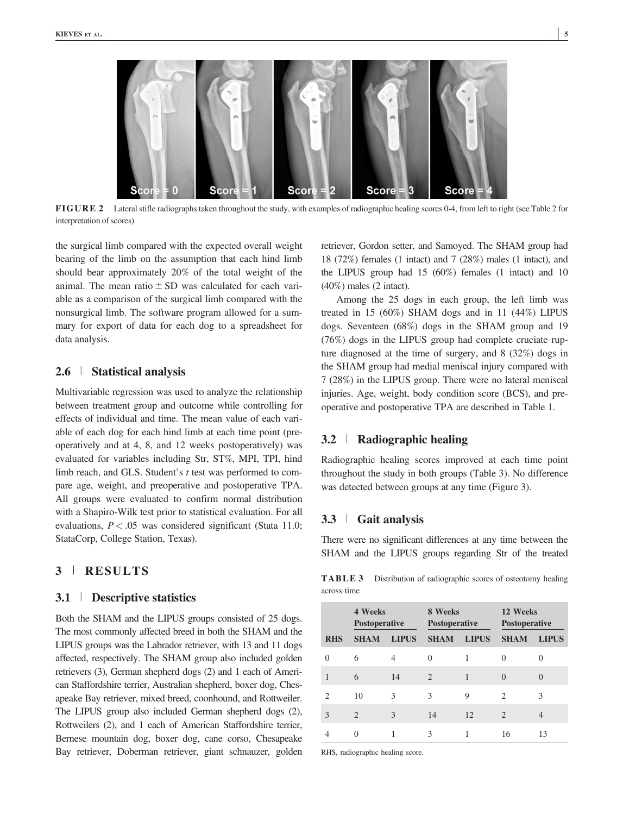

FIGURE 2 Lateral stifle radiographs taken throughout the study, with examples of radiographic healing scores 0-4, from left to right (see Table 2 for interpretation of scores)

the surgical limb compared with the expected overall weight bearing of the limb on the assumption that each hind limb should bear approximately 20% of the total weight of the animal. The mean ratio  $\pm$  SD was calculated for each variable as a comparison of the surgical limb compared with the nonsurgical limb. The software program allowed for a summary for export of data for each dog to a spreadsheet for data analysis.

#### 2.6 <sup>|</sup> Statistical analysis

Multivariable regression was used to analyze the relationship between treatment group and outcome while controlling for effects of individual and time. The mean value of each variable of each dog for each hind limb at each time point (preoperatively and at 4, 8, and 12 weeks postoperatively) was evaluated for variables including Str, ST%, MPI, TPI, hind limb reach, and GLS. Student's t test was performed to compare age, weight, and preoperative and postoperative TPA. All groups were evaluated to confirm normal distribution with a Shapiro-Wilk test prior to statistical evaluation. For all evaluations,  $P < .05$  was considered significant (Stata 11.0; StataCorp, College Station, Texas).

### 3 <sup>|</sup> RESULTS

#### 3.1 <sup>|</sup> Descriptive statistics

Both the SHAM and the LIPUS groups consisted of 25 dogs. The most commonly affected breed in both the SHAM and the LIPUS groups was the Labrador retriever, with 13 and 11 dogs affected, respectively. The SHAM group also included golden retrievers (3), German shepherd dogs (2) and 1 each of American Staffordshire terrier, Australian shepherd, boxer dog, Chesapeake Bay retriever, mixed breed, coonhound, and Rottweiler. The LIPUS group also included German shepherd dogs (2), Rottweilers (2), and 1 each of American Staffordshire terrier, Bernese mountain dog, boxer dog, cane corso, Chesapeake Bay retriever, Doberman retriever, giant schnauzer, golden retriever, Gordon setter, and Samoyed. The SHAM group had 18 (72%) females (1 intact) and 7 (28%) males (1 intact), and the LIPUS group had 15 (60%) females (1 intact) and 10 (40%) males (2 intact).

Among the 25 dogs in each group, the left limb was treated in 15 (60%) SHAM dogs and in 11 (44%) LIPUS dogs. Seventeen (68%) dogs in the SHAM group and 19 (76%) dogs in the LIPUS group had complete cruciate rupture diagnosed at the time of surgery, and 8 (32%) dogs in the SHAM group had medial meniscal injury compared with 7 (28%) in the LIPUS group. There were no lateral meniscal injuries. Age, weight, body condition score (BCS), and preoperative and postoperative TPA are described in Table 1.

# 3.2 <sup>|</sup> Radiographic healing

Radiographic healing scores improved at each time point throughout the study in both groups (Table 3). No difference was detected between groups at any time (Figure 3).

# 3.3 <sup>|</sup> Gait analysis

There were no significant differences at any time between the SHAM and the LIPUS groups regarding Str of the treated

TABLE 3 Distribution of radiographic scores of osteotomy healing across time

|               | 4 Weeks<br>Postoperative |              | 8 Weeks<br>Postoperative |              | 12 Weeks<br>Postoperative     |              |
|---------------|--------------------------|--------------|--------------------------|--------------|-------------------------------|--------------|
| <b>RHS</b>    | <b>SHAM</b>              | <b>LIPUS</b> | <b>SHAM</b>              | <b>LIPUS</b> | <b>SHAM</b>                   | <b>LIPUS</b> |
| 0             | 6                        | 4            | $\Omega$                 | 1            | $\Omega$                      | 0            |
|               | 6                        | 14           | 2                        | 1            |                               | $\Omega$     |
| $\mathcal{D}$ | 10                       | 3            | $\mathcal{E}$            | 9            | $\mathfrak{D}_{\mathfrak{p}}$ | 3            |
| 3             | $\overline{c}$           | 3            | 14                       | 12           | 2                             | 4            |
|               | 0                        |              | 3                        |              | 16                            | 13           |

RHS, radiographic healing score.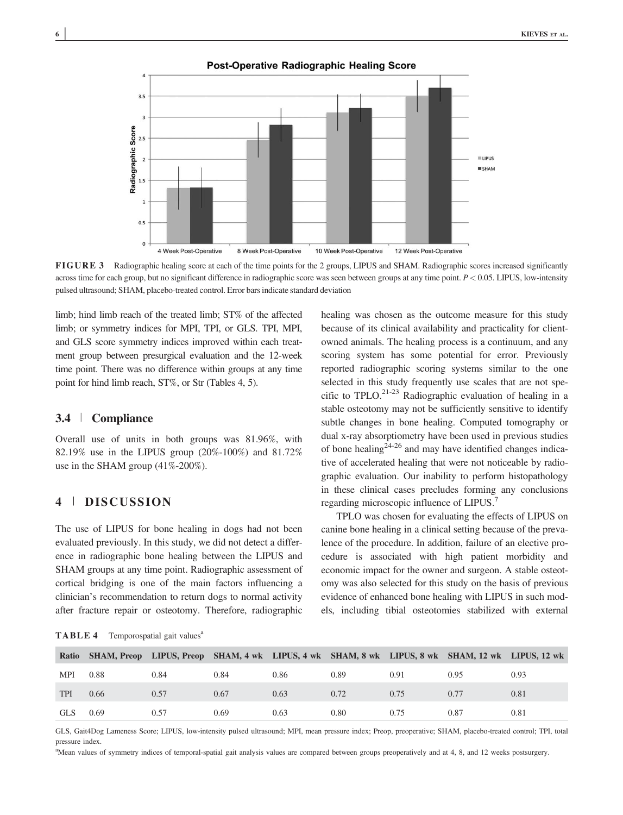

FIGURE 3 Radiographic healing score at each of the time points for the 2 groups, LIPUS and SHAM. Radiographic scores increased significantly across time for each group, but no significant difference in radiographic score was seen between groups at any time point.  $P < 0.05$ . LIPUS, low-intensity pulsed ultrasound; SHAM, placebo-treated control. Error bars indicate standard deviation

limb; hind limb reach of the treated limb; ST% of the affected limb; or symmetry indices for MPI, TPI, or GLS. TPI, MPI, and GLS score symmetry indices improved within each treatment group between presurgical evaluation and the 12-week time point. There was no difference within groups at any time point for hind limb reach, ST%, or Str (Tables 4, 5).

#### 3.4 <sup>|</sup> Compliance

Overall use of units in both groups was 81.96%, with 82.19% use in the LIPUS group (20%-100%) and 81.72% use in the SHAM group (41%-200%).

# 4 <sup>|</sup> DISCUSSION

The use of LIPUS for bone healing in dogs had not been evaluated previously. In this study, we did not detect a difference in radiographic bone healing between the LIPUS and SHAM groups at any time point. Radiographic assessment of cortical bridging is one of the main factors influencing a clinician's recommendation to return dogs to normal activity after fracture repair or osteotomy. Therefore, radiographic healing was chosen as the outcome measure for this study because of its clinical availability and practicality for clientowned animals. The healing process is a continuum, and any scoring system has some potential for error. Previously reported radiographic scoring systems similar to the one selected in this study frequently use scales that are not specific to TPLO.<sup>21-23</sup> Radiographic evaluation of healing in a stable osteotomy may not be sufficiently sensitive to identify subtle changes in bone healing. Computed tomography or dual x-ray absorptiometry have been used in previous studies of bone healing<sup>24-26</sup> and may have identified changes indicative of accelerated healing that were not noticeable by radiographic evaluation. Our inability to perform histopathology in these clinical cases precludes forming any conclusions regarding microscopic influence of LIPUS.7

TPLO was chosen for evaluating the effects of LIPUS on canine bone healing in a clinical setting because of the prevalence of the procedure. In addition, failure of an elective procedure is associated with high patient morbidity and economic impact for the owner and surgeon. A stable osteotomy was also selected for this study on the basis of previous evidence of enhanced bone healing with LIPUS in such models, including tibial osteotomies stabilized with external

| TABLE <sub>4</sub> | Temporospatial gait values <sup>a</sup> |  |
|--------------------|-----------------------------------------|--|
|--------------------|-----------------------------------------|--|

| <b>Ratio</b> |      |      |      |      |      |      | SHAM, Preop LIPUS, Preop SHAM, 4 wk LIPUS, 4 wk SHAM, 8 wk LIPUS, 8 wk SHAM, 12 wk LIPUS, 12 wk |      |
|--------------|------|------|------|------|------|------|-------------------------------------------------------------------------------------------------|------|
| MPI          | 0.88 | 0.84 | 0.84 | 0.86 | 0.89 | 0.91 | 0.95                                                                                            | 0.93 |
| <b>TPI</b>   | 0.66 | 0.57 | 0.67 | 0.63 | 0.72 | 0.75 | 0.77                                                                                            | 0.81 |
| <b>GLS</b>   | 0.69 | 0.57 | 0.69 | 0.63 | 0.80 | 0.75 | 0.87                                                                                            | 0.81 |

GLS, Gait4Dog Lameness Score; LIPUS, low-intensity pulsed ultrasound; MPI, mean pressure index; Preop, preoperative; SHAM, placebo-treated control; TPI, total pressure index.

a Mean values of symmetry indices of temporal-spatial gait analysis values are compared between groups preoperatively and at 4, 8, and 12 weeks postsurgery.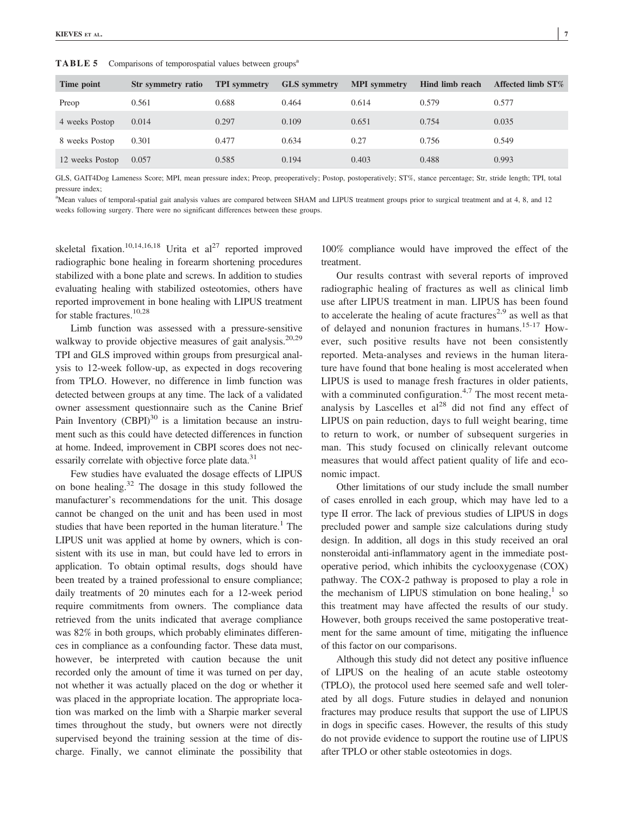| Time point      | <b>Str symmetry ratio</b> | <b>TPI</b> symmetry | <b>GLS</b> symmetry | <b>MPI</b> symmetry | Hind limb reach | Affected limb ST% |
|-----------------|---------------------------|---------------------|---------------------|---------------------|-----------------|-------------------|
| Preop           | 0.561                     | 0.688               | 0.464               | 0.614               | 0.579           | 0.577             |
| 4 weeks Postop  | 0.014                     | 0.297               | 0.109               | 0.651               | 0.754           | 0.035             |
| 8 weeks Postop  | 0.301                     | 0.477               | 0.634               | 0.27                | 0.756           | 0.549             |
| 12 weeks Postop | 0.057                     | 0.585               | 0.194               | 0.403               | 0.488           | 0.993             |

TABLE 5 Comparisons of temporospatial values between groups<sup>a</sup>

GLS, GAIT4Dog Lameness Score; MPI, mean pressure index; Preop, preoperatively; Postop, postoperatively; ST%, stance percentage; Str, stride length; TPI, total pressure index;

<sup>a</sup>Mean values of temporal-spatial gait analysis values are compared between SHAM and LIPUS treatment groups prior to surgical treatment and at 4, 8, and 12 weeks following surgery. There were no significant differences between these groups.

skeletal fixation.<sup>10,14,16,18</sup> Urita et al<sup>27</sup> reported improved radiographic bone healing in forearm shortening procedures stabilized with a bone plate and screws. In addition to studies evaluating healing with stabilized osteotomies, others have reported improvement in bone healing with LIPUS treatment for stable fractures.<sup>10,28</sup>

Limb function was assessed with a pressure-sensitive walkway to provide objective measures of gait analysis.<sup>20,29</sup> TPI and GLS improved within groups from presurgical analysis to 12-week follow-up, as expected in dogs recovering from TPLO. However, no difference in limb function was detected between groups at any time. The lack of a validated owner assessment questionnaire such as the Canine Brief Pain Inventory  $(CBPI)^{30}$  is a limitation because an instrument such as this could have detected differences in function at home. Indeed, improvement in CBPI scores does not necessarily correlate with objective force plate data.<sup>31</sup>

Few studies have evaluated the dosage effects of LIPUS on bone healing.32 The dosage in this study followed the manufacturer's recommendations for the unit. This dosage cannot be changed on the unit and has been used in most studies that have been reported in the human literature.<sup>1</sup> The LIPUS unit was applied at home by owners, which is consistent with its use in man, but could have led to errors in application. To obtain optimal results, dogs should have been treated by a trained professional to ensure compliance; daily treatments of 20 minutes each for a 12-week period require commitments from owners. The compliance data retrieved from the units indicated that average compliance was 82% in both groups, which probably eliminates differences in compliance as a confounding factor. These data must, however, be interpreted with caution because the unit recorded only the amount of time it was turned on per day, not whether it was actually placed on the dog or whether it was placed in the appropriate location. The appropriate location was marked on the limb with a Sharpie marker several times throughout the study, but owners were not directly supervised beyond the training session at the time of discharge. Finally, we cannot eliminate the possibility that

100% compliance would have improved the effect of the treatment.

Our results contrast with several reports of improved radiographic healing of fractures as well as clinical limb use after LIPUS treatment in man. LIPUS has been found to accelerate the healing of acute fractures<sup>2,9</sup> as well as that of delayed and nonunion fractures in humans.15-17 However, such positive results have not been consistently reported. Meta-analyses and reviews in the human literature have found that bone healing is most accelerated when LIPUS is used to manage fresh fractures in older patients, with a comminuted configuration.<sup>4,7</sup> The most recent metaanalysis by Lascelles et  $al^{28}$  did not find any effect of LIPUS on pain reduction, days to full weight bearing, time to return to work, or number of subsequent surgeries in man. This study focused on clinically relevant outcome measures that would affect patient quality of life and economic impact.

Other limitations of our study include the small number of cases enrolled in each group, which may have led to a type II error. The lack of previous studies of LIPUS in dogs precluded power and sample size calculations during study design. In addition, all dogs in this study received an oral nonsteroidal anti-inflammatory agent in the immediate postoperative period, which inhibits the cyclooxygenase (COX) pathway. The COX-2 pathway is proposed to play a role in the mechanism of LIPUS stimulation on bone healing, $\frac{1}{1}$  so this treatment may have affected the results of our study. However, both groups received the same postoperative treatment for the same amount of time, mitigating the influence of this factor on our comparisons.

Although this study did not detect any positive influence of LIPUS on the healing of an acute stable osteotomy (TPLO), the protocol used here seemed safe and well tolerated by all dogs. Future studies in delayed and nonunion fractures may produce results that support the use of LIPUS in dogs in specific cases. However, the results of this study do not provide evidence to support the routine use of LIPUS after TPLO or other stable osteotomies in dogs.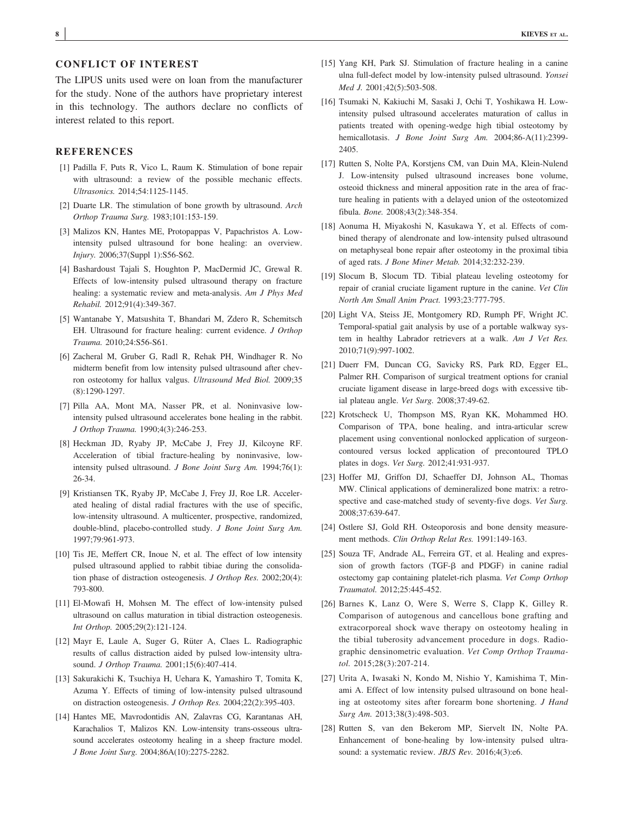#### CONFLICT OF INTEREST

The LIPUS units used were on loan from the manufacturer for the study. None of the authors have proprietary interest in this technology. The authors declare no conflicts of interest related to this report.

#### REFERENCES

- [1] Padilla F, Puts R, Vico L, Raum K. Stimulation of bone repair with ultrasound: a review of the possible mechanic effects. Ultrasonics. 2014;54:1125-1145.
- [2] Duarte LR. The stimulation of bone growth by ultrasound. Arch Orthop Trauma Surg. 1983;101:153-159.
- [3] Malizos KN, Hantes ME, Protopappas V, Papachristos A. Lowintensity pulsed ultrasound for bone healing: an overview. Injury. 2006;37(Suppl 1):S56-S62.
- [4] Bashardoust Tajali S, Houghton P, MacDermid JC, Grewal R. Effects of low-intensity pulsed ultrasound therapy on fracture healing: a systematic review and meta-analysis. Am J Phys Med Rehabil. 2012;91(4):349-367.
- [5] Wantanabe Y, Matsushita T, Bhandari M, Zdero R, Schemitsch EH. Ultrasound for fracture healing: current evidence. J Orthop Trauma. 2010;24:S56-S61.
- [6] Zacheral M, Gruber G, Radl R, Rehak PH, Windhager R. No midterm benefit from low intensity pulsed ultrasound after chevron osteotomy for hallux valgus. Ultrasound Med Biol. 2009;35 (8):1290-1297.
- [7] Pilla AA, Mont MA, Nasser PR, et al. Noninvasive lowintensity pulsed ultrasound accelerates bone healing in the rabbit. J Orthop Trauma. 1990;4(3):246-253.
- [8] Heckman JD, Ryaby JP, McCabe J, Frey JJ, Kilcoyne RF. Acceleration of tibial fracture-healing by noninvasive, lowintensity pulsed ultrasound. J Bone Joint Surg Am. 1994;76(1): 26-34.
- [9] Kristiansen TK, Ryaby JP, McCabe J, Frey JJ, Roe LR. Accelerated healing of distal radial fractures with the use of specific, low-intensity ultrasound. A multicenter, prospective, randomized, double-blind, placebo-controlled study. J Bone Joint Surg Am. 1997;79:961-973.
- [10] Tis JE, Meffert CR, Inoue N, et al. The effect of low intensity pulsed ultrasound applied to rabbit tibiae during the consolidation phase of distraction osteogenesis. J Orthop Res. 2002;20(4): 793-800.
- [11] El-Mowafi H, Mohsen M. The effect of low-intensity pulsed ultrasound on callus maturation in tibial distraction osteogenesis. Int Orthop. 2005;29(2):121-124.
- [12] Mayr E, Laule A, Suger G, Rüter A, Claes L. Radiographic results of callus distraction aided by pulsed low-intensity ultrasound. J Orthop Trauma. 2001;15(6):407-414.
- [13] Sakurakichi K, Tsuchiya H, Uehara K, Yamashiro T, Tomita K, Azuma Y. Effects of timing of low-intensity pulsed ultrasound on distraction osteogenesis. J Orthop Res. 2004;22(2):395-403.
- [14] Hantes ME, Mavrodontidis AN, Zalavras CG, Karantanas AH, Karachalios T, Malizos KN. Low-intensity trans-osseous ultrasound accelerates osteotomy healing in a sheep fracture model. J Bone Joint Surg. 2004;86A(10):2275-2282.
- [15] Yang KH, Park SJ. Stimulation of fracture healing in a canine ulna full-defect model by low-intensity pulsed ultrasound. Yonsei Med J. 2001;42(5):503-508.
- [16] Tsumaki N, Kakiuchi M, Sasaki J, Ochi T, Yoshikawa H. Lowintensity pulsed ultrasound accelerates maturation of callus in patients treated with opening-wedge high tibial osteotomy by hemicallotasis. J Bone Joint Surg Am. 2004;86-A(11):2399-2405.
- [17] Rutten S, Nolte PA, Korstjens CM, van Duin MA, Klein-Nulend J. Low-intensity pulsed ultrasound increases bone volume, osteoid thickness and mineral apposition rate in the area of fracture healing in patients with a delayed union of the osteotomized fibula. Bone. 2008;43(2):348-354.
- [18] Aonuma H, Miyakoshi N, Kasukawa Y, et al. Effects of combined therapy of alendronate and low-intensity pulsed ultrasound on metaphyseal bone repair after osteotomy in the proximal tibia of aged rats. J Bone Miner Metab. 2014;32:232-239.
- [19] Slocum B, Slocum TD. Tibial plateau leveling osteotomy for repair of cranial cruciate ligament rupture in the canine. Vet Clin North Am Small Anim Pract. 1993;23:777-795.
- [20] Light VA, Steiss JE, Montgomery RD, Rumph PF, Wright JC. Temporal-spatial gait analysis by use of a portable walkway system in healthy Labrador retrievers at a walk. Am J Vet Res. 2010;71(9):997-1002.
- [21] Duerr FM, Duncan CG, Savicky RS, Park RD, Egger EL, Palmer RH. Comparison of surgical treatment options for cranial cruciate ligament disease in large-breed dogs with excessive tibial plateau angle. Vet Surg. 2008;37:49-62.
- [22] Krotscheck U, Thompson MS, Ryan KK, Mohammed HO. Comparison of TPA, bone healing, and intra-articular screw placement using conventional nonlocked application of surgeoncontoured versus locked application of precontoured TPLO plates in dogs. Vet Surg. 2012;41:931-937.
- [23] Hoffer MJ, Griffon DJ, Schaeffer DJ, Johnson AL, Thomas MW. Clinical applications of demineralized bone matrix: a retrospective and case-matched study of seventy-five dogs. Vet Surg. 2008;37:639-647.
- [24] Ostlere SJ, Gold RH. Osteoporosis and bone density measurement methods. Clin Orthop Relat Res. 1991:149-163.
- [25] Souza TF, Andrade AL, Ferreira GT, et al. Healing and expression of growth factors (TGF- $\beta$  and PDGF) in canine radial ostectomy gap containing platelet-rich plasma. Vet Comp Orthop Traumatol. 2012;25:445-452.
- [26] Barnes K, Lanz O, Were S, Werre S, Clapp K, Gilley R. Comparison of autogenous and cancellous bone grafting and extracorporeal shock wave therapy on osteotomy healing in the tibial tuberosity advancement procedure in dogs. Radiographic densinometric evaluation. Vet Comp Orthop Traumatol. 2015;28(3):207-214.
- [27] Urita A, Iwasaki N, Kondo M, Nishio Y, Kamishima T, Minami A. Effect of low intensity pulsed ultrasound on bone healing at osteotomy sites after forearm bone shortening. J Hand Surg Am. 2013;38(3):498-503.
- [28] Rutten S, van den Bekerom MP, Siervelt IN, Nolte PA. Enhancement of bone-healing by low-intensity pulsed ultrasound: a systematic review. JBJS Rev. 2016;4(3):e6.